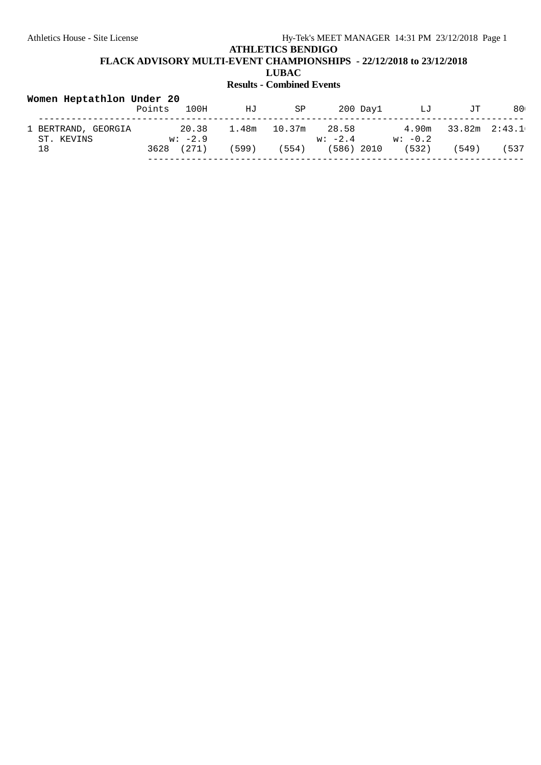**FLACK ADVISORY MULTI-EVENT CHAMPIONSHIPS - 22/12/2018 to 23/12/2018**

**LUBAC**

| Women Heptathlon Under 20         | Points | 100H               | ΗJ    | SP     |                    | 200 Day1   | LJ                 | JТ            | 80   |
|-----------------------------------|--------|--------------------|-------|--------|--------------------|------------|--------------------|---------------|------|
| 1 BERTRAND, GEORGIA<br>ST. KEVINS |        | 20.38<br>$w: -2.9$ | 1.48m | 10.37m | 28.58<br>$w: -2.4$ |            | 4.90m<br>$w: -0.2$ | 33.82m 2:43.1 |      |
| 18                                | 3628   | (271)              | 599)  | (554)  |                    | (586) 2010 | (532)              | 549)          | 5337 |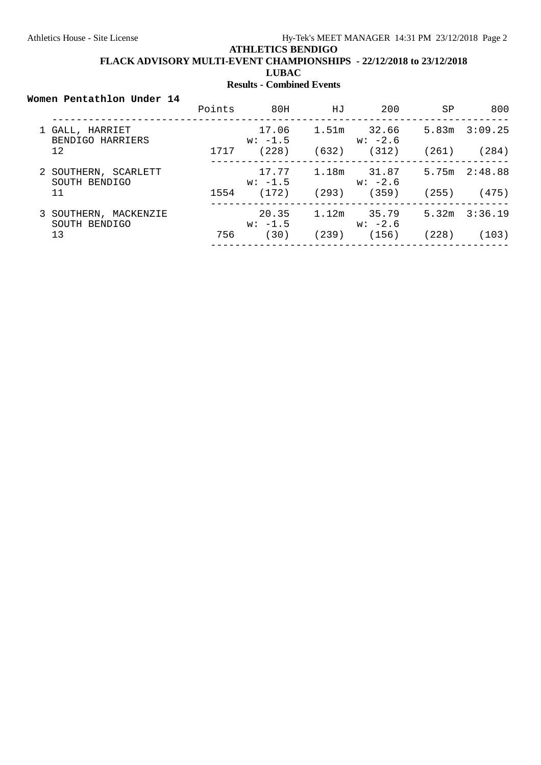# **ATHLETICS BENDIGO FLACK ADVISORY MULTI-EVENT CHAMPIONSHIPS - 22/12/2018 to 23/12/2018 LUBAC**

# **Results - Combined Events**

#### **Women Pentathlon Under 14**

|                                        | Points | 80H                | HJ    | 200                      | <b>SP</b> | 800               |
|----------------------------------------|--------|--------------------|-------|--------------------------|-----------|-------------------|
| 1 GALL, HARRIET<br>BENDIGO HARRIERS    |        | 17.06<br>$w: -1.5$ |       | 1.51m 32.66<br>w: -2.6   |           | $5.83m$ $3:09.25$ |
| 12                                     | 1717   | (228)              | (632) | (312)                    | (261)     | (284)             |
| 2 SOUTHERN, SCARLETT<br>SOUTH BENDIGO  |        | 17.77<br>$w: -1.5$ |       | 1.18m 31.87<br>$w: -2.6$ |           | 5.75m 2:48.88     |
| 11                                     | 1554   | (172)              | (293) | (359)                    | (255)     | (475)             |
| 3 SOUTHERN, MACKENZIE<br>SOUTH BENDIGO |        | 20.35<br>$w: -1.5$ |       | $1.12m$ 35.79<br>w: -2.6 | 5.32m     | 3:36.19           |
| 13                                     | 756    | (30)               | (239) | (156)                    | (228)     | (103)             |
|                                        |        |                    |       |                          |           |                   |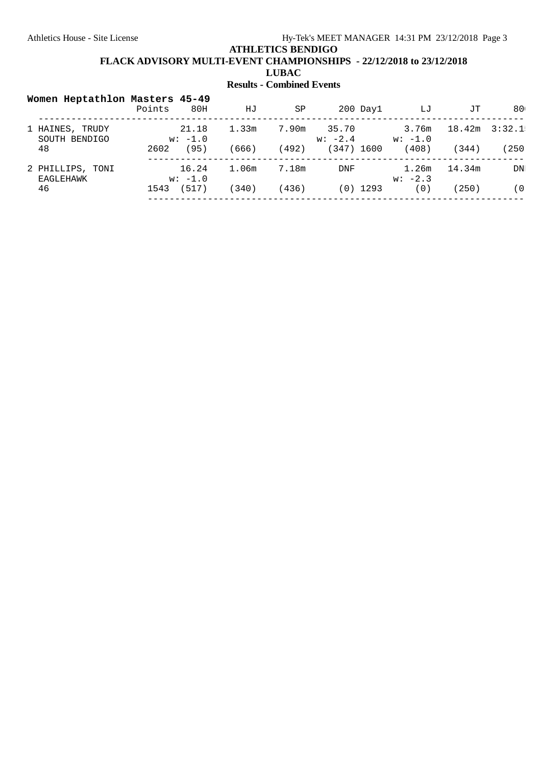# **FLACK ADVISORY MULTI-EVENT CHAMPIONSHIPS - 22/12/2018 to 23/12/2018**

**LUBAC**

| Women Heptathlon Masters 45-49   | Points<br>80H      | ΗJ    | SP    | $200$ Day $1$      | LJ                 | JТ     | 80     |
|----------------------------------|--------------------|-------|-------|--------------------|--------------------|--------|--------|
| 1 HAINES, TRUDY<br>SOUTH BENDIGO | 21.18<br>$w: -1.0$ | 1.33m | 7.90m | 35.70<br>$w: -2.4$ | 3.76m<br>$w: -1.0$ | 18.42m | 3:32.1 |
| 48                               | (95)<br>2602       | (666) | 492)  | (347)<br>1600      | (408)              | (344)  | 250)   |
| 2 PHILLIPS, TONI<br>EAGLEHAWK    | 16.24<br>$w: -1.0$ | 1.06m | 7.18m | DNF                | 1.26m<br>$w: -2.3$ | 14.34m | DN     |
| 46                               | (517)<br>1543      | 340)  | 436)  | 1293<br>(0)        | ( 0 '              | 250)   | (0)    |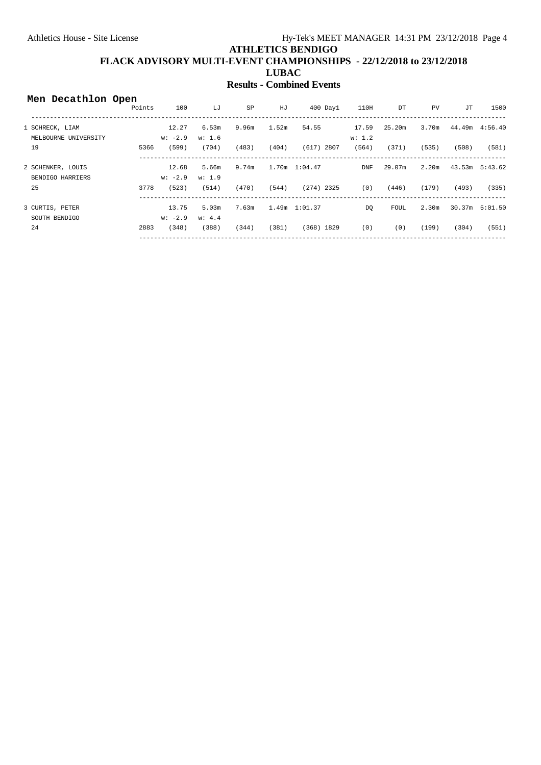| Men Decathlon Open   |        |           |        |       |       |                   |            |             |                   |       |                 |
|----------------------|--------|-----------|--------|-------|-------|-------------------|------------|-------------|-------------------|-------|-----------------|
|                      | Points | 100       | LJ     | SP    | HJ    | $400$ Day $1$     | 110H       | DT          | PV                | JТ    | 1500            |
| 1 SCHRECK, LIAM      |        | 12.27     | 6.53m  | 9.96m | 1.52m | 54.55             | 17.59      | 25.20m      | 3.70m             |       | 44.49m  4:56.40 |
| MELBOURNE UNIVERSITY |        | $w: -2.9$ | w: 1.6 |       |       |                   | w: 1.2     |             |                   |       |                 |
| 19                   | 5366   | (599)     | (704)  | (483) | (404) | $(617)$ 2807      | (564)      | (371)       | (535)             | (508) | (581)           |
| 2 SCHENKER, LOUIS    |        | 12.68     | 5.66m  | 9.74m |       | $1.70m$ $1:04.47$ | <b>DNF</b> | 29.07m      | 2.20m             |       | 43.53m 5:43.62  |
| BENDIGO HARRIERS     |        | $w: -2.9$ | w: 1.9 |       |       |                   |            |             |                   |       |                 |
| 25                   | 3778   | (523)     | (514)  | (470) | (544) | $(274)$ 2325      | (0)        | (446)       | (179)             | (493) | (335)           |
| 3 CURTIS, PETER      |        | 13.75     | 5.03m  | 7.63m |       | $1.49m$ $1:01.37$ | <b>DO</b>  | <b>FOUL</b> | 2.30 <sub>m</sub> |       | 30.37m 5:01.50  |
| SOUTH BENDIGO        |        | $w: -2.9$ | w: 4.4 |       |       |                   |            |             |                   |       |                 |
| 24                   | 2883   | (348)     | (388)  | (344) | (381) | $(368)$ 1829      | (0)        | (0)         | (199)             | (304) | (551)           |
|                      |        |           |        |       |       |                   |            |             |                   |       |                 |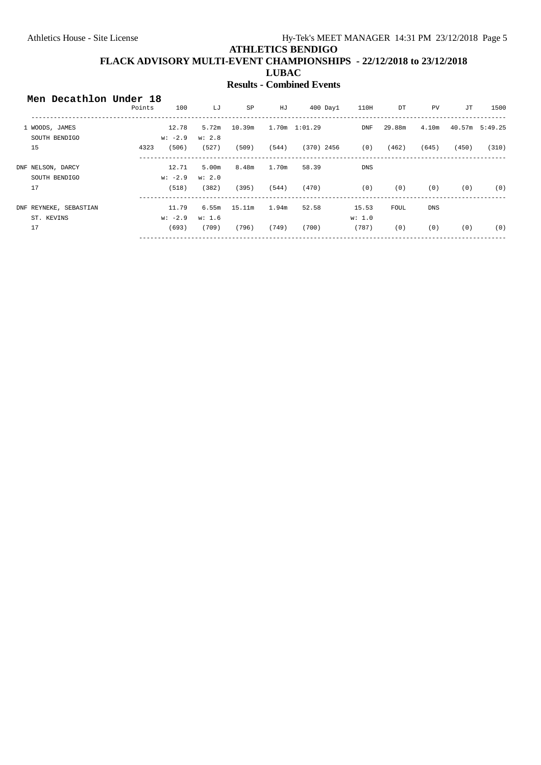| Men Decathlon Under 18 | Points | 100       | LJ     | SP     | HJ    | $400$ Day $1$ | 110H       | DT          | PV.        | JT    | 1500           |
|------------------------|--------|-----------|--------|--------|-------|---------------|------------|-------------|------------|-------|----------------|
| 1 WOODS, JAMES         |        | 12.78     | 5.72m  | 10.39m |       | 1.70m 1:01.29 | DNF        | 29.88m      | 4.10m      |       | 40.57m 5:49.25 |
| SOUTH BENDIGO          |        | $w: -2.9$ | w: 2.8 |        |       |               |            |             |            |       |                |
| 15                     | 4323   | (506)     | (527)  | (509)  | (544) | (370) 2456    | (0)        | (462)       | (645)      | (450) | (310)          |
| DNF NELSON, DARCY      |        | 12.71     | 5.00m  | 8.48m  | 1.70m | 58.39         | <b>DNS</b> |             |            |       |                |
| SOUTH BENDIGO          |        | $w: -2.9$ | w: 2.0 |        |       |               |            |             |            |       |                |
| 17                     |        | (518)     | (382)  | (395)  | (544) | (470)         | (0)        | (0)         | (0)        | (0)   | (0)            |
| DNF REYNEKE, SEBASTIAN |        | 11.79     | 6.55m  | 15.11m | 1.94m | 52.58         | 15.53      | <b>FOUL</b> | <b>DNS</b> |       |                |
| ST. KEVINS             |        | $w: -2.9$ | w: 1.6 |        |       |               | w: 1.0     |             |            |       |                |
| 17                     |        | (693)     | (709)  | (796)  | (749) | (700)         | (787)      | (0)         | (0)        | (0)   | (0)            |
|                        |        |           |        |        |       |               |            |             |            |       |                |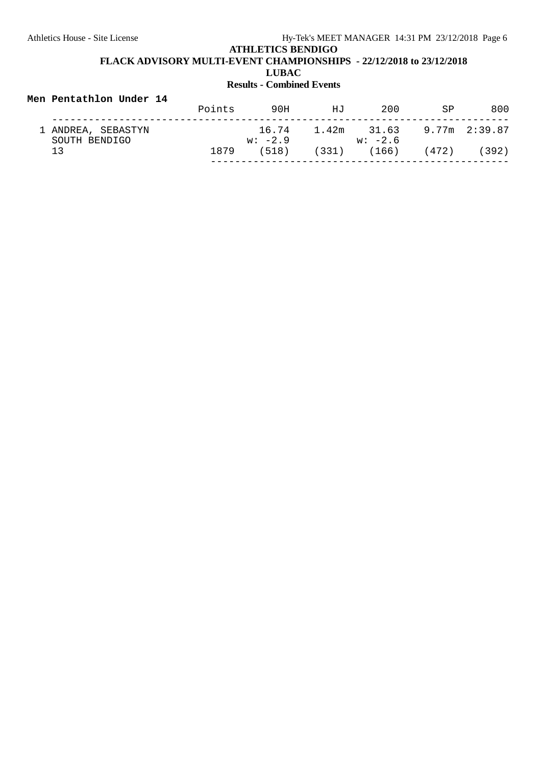#### **Men Pentathlon Under 14** Points 90H HJ 200 SP 800 --------------------------------------------------------------------------- 1 ANDREA, SEBASTYN 16.74 1.42m 31.63 9.77m 2:39.87 SOUTH BENDIGO W: -2.9 w: -2.6 13 1879 (518) (331) (166) (472) (392) -------------------------------------------------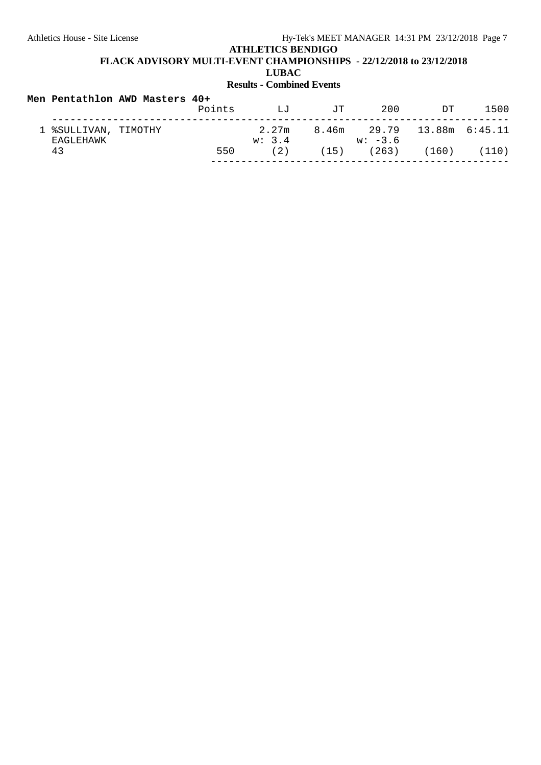**FLACK ADVISORY MULTI-EVENT CHAMPIONSHIPS - 22/12/2018 to 23/12/2018**

**LUBAC**

|                                   | Men Pentathlon AWD Masters 40+ | Points | $T_{\rm H}T$    | TT. | 200                                     | דת | 1500 |
|-----------------------------------|--------------------------------|--------|-----------------|-----|-----------------------------------------|----|------|
| 1 %SULLIVAN, TIMOTHY<br>EAGLEHAWK |                                |        | 2.27m<br>w: 3.4 |     | 8.46m 29.79 13.88m 6:45.11<br>$w: -3.6$ |    |      |
| 43                                |                                | 550    | (2)             |     | $(15)$ $(263)$ $(160)$ $(110)$          |    |      |
|                                   |                                |        |                 |     |                                         |    |      |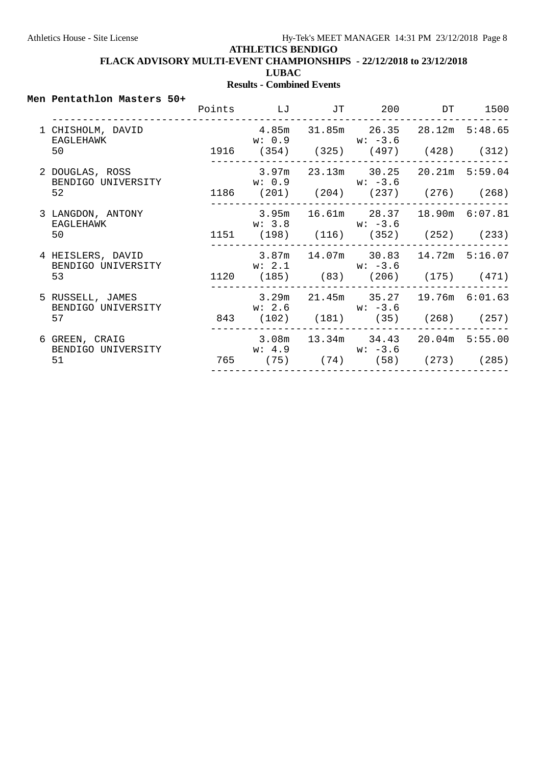**FLACK ADVISORY MULTI-EVENT CHAMPIONSHIPS - 22/12/2018 to 23/12/2018**

**LUBAC**

#### **Results - Combined Events**

#### **Men Pentathlon Masters 50+**

|                                         |                    |  | Points LJ JT 200 DT 1500                                                |  |
|-----------------------------------------|--------------------|--|-------------------------------------------------------------------------|--|
| 1 CHISHOLM, DAVID<br>EAGLEHAWK<br>50    | $w: 0.9$ $w: -3.6$ |  | 4.85m 31.85m 26.35 28.12m 5:48.65<br>1916 (354) (325) (497) (428) (312) |  |
| 2 DOUGLAS, ROSS<br>BENDIGO UNIVERSITY   | $w: 0.9$ $w: -3.6$ |  | $3.97m$ 23.13m 30.25 20.21m 5:59.04                                     |  |
| 52                                      |                    |  | 1186 (201) (204) (237) (276) (268)                                      |  |
| 3 LANGDON, ANTONY<br>EAGLEHAWK          | $w: 3.8$ $w: -3.6$ |  | 3.95m 16.61m 28.37 18.90m 6:07.81                                       |  |
| 50                                      |                    |  | 1151 (198) (116) (352) (252) (233)                                      |  |
| 4 HEISLERS, DAVID<br>BENDIGO UNIVERSITY | $w: 2.1$ $w: -3.6$ |  | $3.87m$ 14.07m 30.83 14.72m 5:16.07                                     |  |
| 53                                      |                    |  | 1120 (185) (83) (206) (175) (471)                                       |  |
| 5 RUSSELL, JAMES<br>BENDIGO UNIVERSITY  | $w: 2.6$ $w: -3.6$ |  | $3.29m$ $21.45m$ $35.27$ $19.76m$ $6:01.63$                             |  |
| 57                                      |                    |  | 843 (102) (181) (35) (268) (257)                                        |  |
| 6 GREEN, CRAIG<br>BENDIGO UNIVERSITY    | $w: 4.9$ $w: -3.6$ |  | $3.08m$ $13.34m$ $34.43$ $20.04m$ 5:55.00                               |  |
| 51                                      |                    |  | 765 (75) (74) (58) (273) (285)                                          |  |
|                                         |                    |  |                                                                         |  |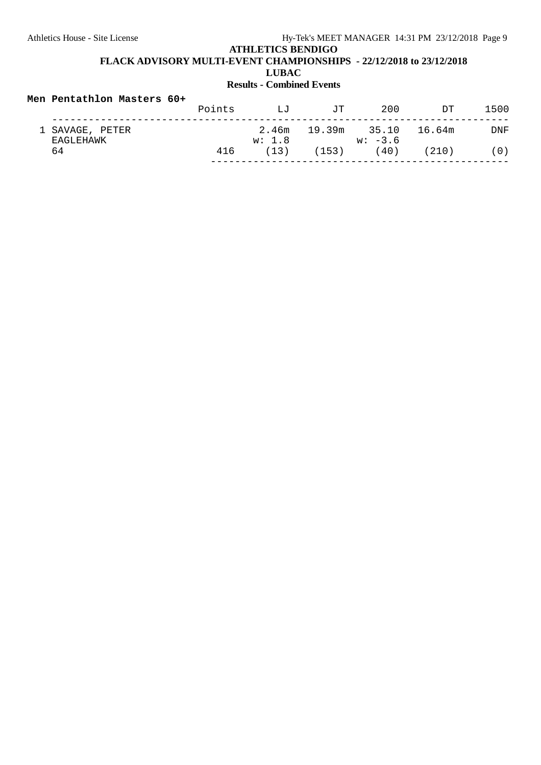# **ATHLETICS BENDIGO FLACK ADVISORY MULTI-EVENT CHAMPIONSHIPS - 22/12/2018 to 23/12/2018**

**LUBAC**

## **Results - Combined Events**

#### **Men Pentathlon Masters 60+**

|                              | Points | T.J             | JΤ    | 200                       | דת     | 1500 |
|------------------------------|--------|-----------------|-------|---------------------------|--------|------|
| 1 SAVAGE, PETER<br>EAGLEHAWK |        | 2.46m<br>w: 1.8 |       | 19.39m 35.10<br>$w: -3.6$ | 16.64m | DNF  |
| 64                           | 416    | (13)            | (153) | (40)                      | (210)  | (0)  |
|                              |        |                 |       |                           |        |      |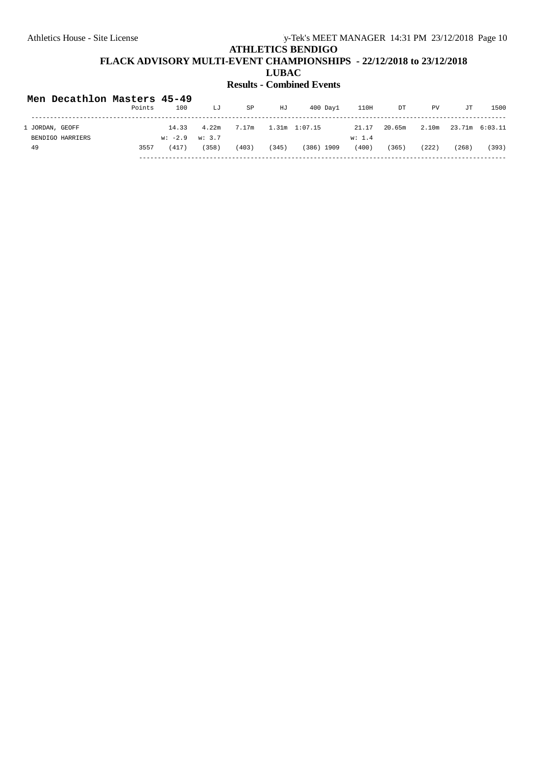| Men Decathlon Masters 45-49 | Points | 100                | LJ    | SP    | HJ    | $400$ Day $1$ | 110H   | DT     | PV    | JT             | 1500  |
|-----------------------------|--------|--------------------|-------|-------|-------|---------------|--------|--------|-------|----------------|-------|
| 1 JORDAN, GEOFF             |        | 14.33              | 4.22m | 7.17m |       | 1.31m 1:07.15 | 21.17  | 20.65m | 2.10m | 23.71m 6:03.11 |       |
| BENDIGO HARRIERS            |        | $w: -2.9$ $w: 3.7$ |       |       |       |               | w: 1.4 |        |       |                |       |
| 49                          | 3557   | (417)              | (358) | (403) | (345) | $(386)$ 1909  | (400)  | (365)  | (222) | (268)          | (393) |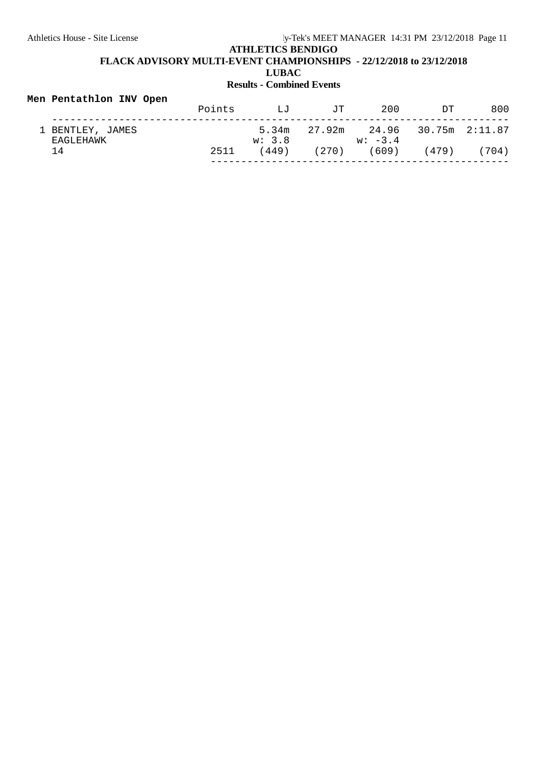| Men Pentathlon INV Open       |        |              |     |                                                          |     |     |
|-------------------------------|--------|--------------|-----|----------------------------------------------------------|-----|-----|
|                               | Points | $T_{\rm H}T$ | TT. | 200                                                      | ידת | 800 |
| 1 BENTLEY, JAMES<br>EAGLEHAWK |        | w: 3.8       |     | $5.34m$ $27.92m$ $24.96$ $30.75m$ $2:11.87$<br>$w: -3.4$ |     |     |
| 14                            | 2511   | (449)        |     | $(270)$ (609) (479) (704)                                |     |     |
|                               |        |              |     |                                                          |     |     |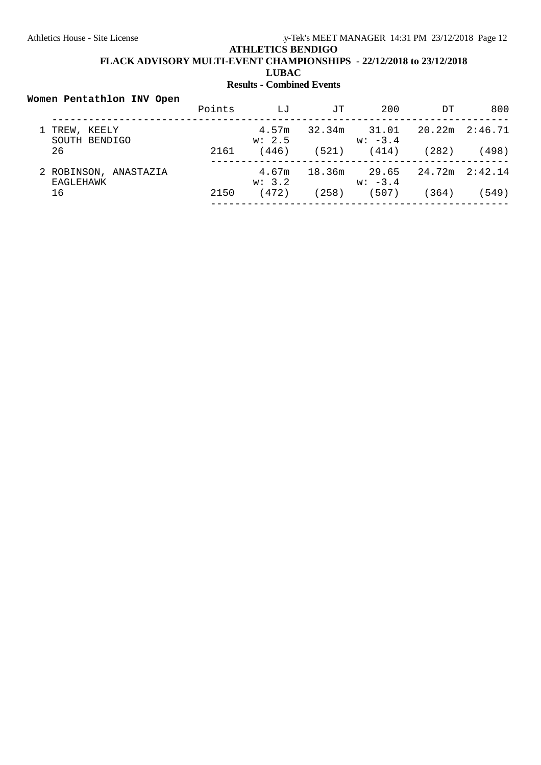# **ATHLETICS BENDIGO FLACK ADVISORY MULTI-EVENT CHAMPIONSHIPS - 22/12/2018 to 23/12/2018 LUBAC**

# **Results - Combined Events**

#### **Women Pentathlon INV Open**

|                                    | Points | LJ              | TT.    | 200                | ית    | 800                |
|------------------------------------|--------|-----------------|--------|--------------------|-------|--------------------|
| TREW, KEELY<br>SOUTH BENDIGO       |        | 4.57m<br>w: 2.5 | 32.34m | 31.01<br>$w: -3.4$ |       | $20.22m$ $2:46.71$ |
| 26                                 | 2161   | (446)           | (521)  | (414)              | (282) | (498)              |
| 2 ROBINSON, ANASTAZIA<br>EAGLEHAWK |        | 4.67m<br>w: 3.2 | 18.36m | 29.65<br>$w: -3.4$ |       | 24.72m 2:42.14     |
| 16                                 | 2150   | (472)           | (258)  | (507)              | (364) | (549)              |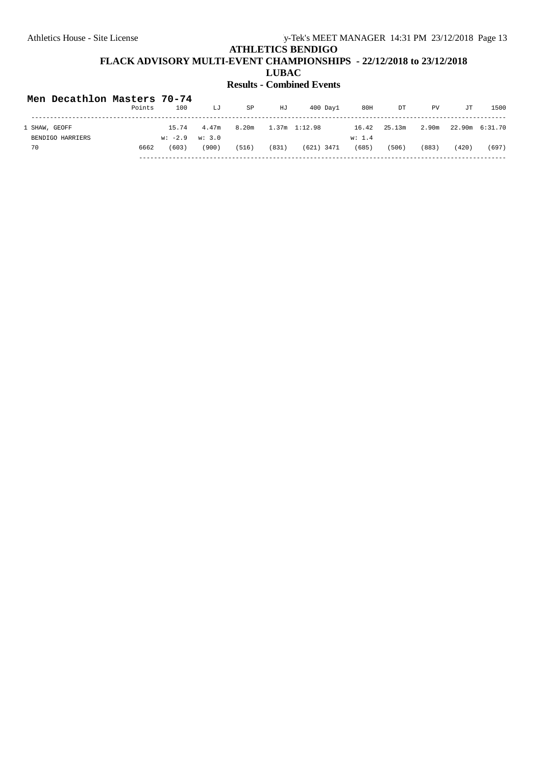| Men Decathlon Masters 70-74 |        |                        |       |       |       |               |        |        |       |       |                |
|-----------------------------|--------|------------------------|-------|-------|-------|---------------|--------|--------|-------|-------|----------------|
|                             | Points | 100                    | LJ    | SP    | HJ    | $400$ Davl    | 80H    | DT     | PV    | JT    | 1500           |
| 1 SHAW, GEOFF               |        | 15.74                  | 4.47m | 8.20m |       | 1.37m 1:12.98 | 16.42  | 25.13m | 2.90m |       | 22.90m 6:31.70 |
| BENDIGO HARRIERS            |        | $w: -2.9 \quad w: 3.0$ |       |       |       |               | w: 1.4 |        |       |       |                |
| 70                          | 6662   | (603)                  | (900) | (516) | (831) | $(621)$ 3471  | (685)  | (506)  | (883) | (420) | (697)          |
|                             |        |                        |       |       |       |               |        |        |       |       |                |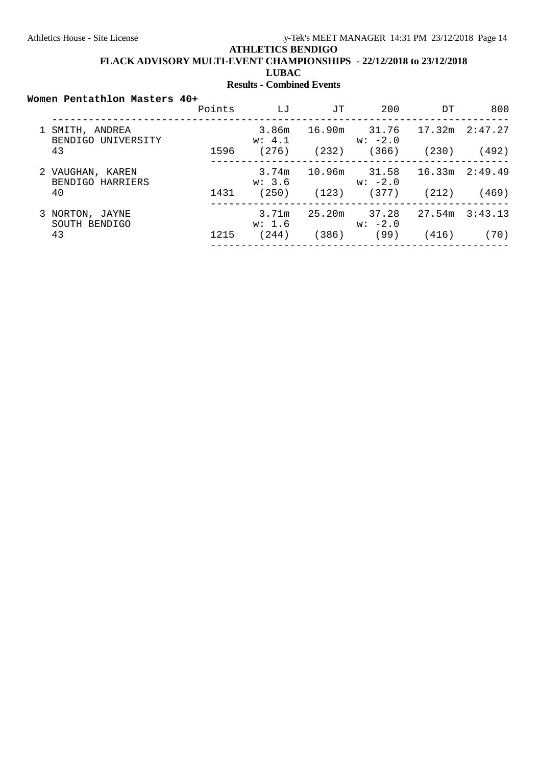**FLACK ADVISORY MULTI-EVENT CHAMPIONSHIPS - 22/12/2018 to 23/12/2018**

**LUBAC**

## **Results - Combined Events**

#### **Women Pentathlon Masters 40+**

|  |                                      | Points | ட்ட             | TT.   | 200                           | DТ             | 800            |
|--|--------------------------------------|--------|-----------------|-------|-------------------------------|----------------|----------------|
|  | SMITH, ANDREA<br>BENDIGO UNIVERSITY  |        | w: 4.1          |       | 3.86m 16.90m 31.76<br>w: -2.0 | 17.32m 2:47.27 |                |
|  | 43                                   | 1596   | (276)           | (232) | (366)                         | (230)          | (492)          |
|  | 2 VAUGHAN, KAREN<br>BENDIGO HARRIERS |        | 3.74m<br>w: 3.6 |       | 10.96m 31.58<br>$w: -2.0$     |                | 16.33m 2:49.49 |
|  | 40                                   | 1431   | (250)           | (123) | (377)                         | (212)          | (469)          |
|  | 3 NORTON, JAYNE<br>SOUTH BENDIGO     |        | 3.71m<br>w: 1.6 |       | 25.20m 37.28<br>$w: -2.0$     | 27.54m         | 3:43.13        |
|  | 43                                   | 1215   | (244)           | (386) | (99)                          | (416)          | (70)           |
|  |                                      |        |                 |       |                               |                |                |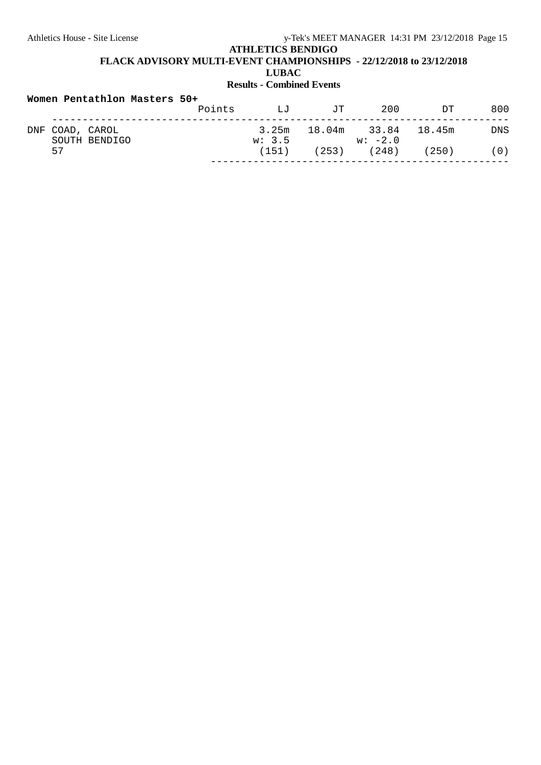**FLACK ADVISORY MULTI-EVENT CHAMPIONSHIPS - 22/12/2018 to 23/12/2018**

**LUBAC**

| Women Pentathlon Masters 50+ |                                  |        |              |     |                                        |       |            |  |
|------------------------------|----------------------------------|--------|--------------|-----|----------------------------------------|-------|------------|--|
|                              |                                  | Points | $T_{\rm H}T$ | TT. | 200                                    | ירת   | 800        |  |
|                              | DNF COAD, CAROL<br>SOUTH BENDIGO |        | w: 3.5       |     | 3.25m 18.04m 33.84 18.45m<br>$w: -2.0$ |       | <b>DNS</b> |  |
|                              | 57                               |        | (151)        |     | $(253)$ $(248)$                        | (250) | (0)        |  |
|                              |                                  |        |              |     |                                        |       |            |  |